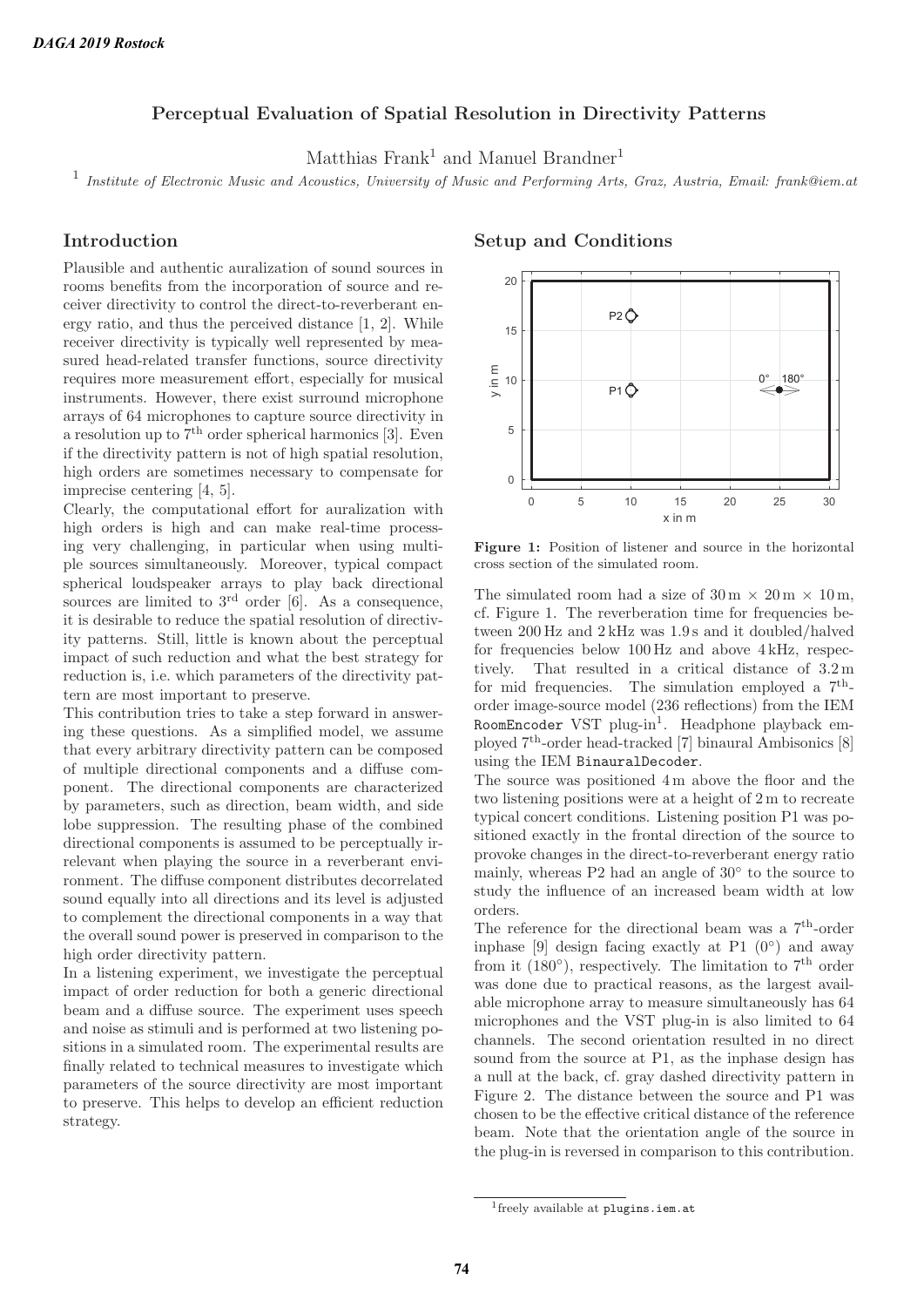### **Perceptual Evaluation of Spatial Resolution in Directivity Patterns**

Matthias Frank<sup>1</sup> and Manuel Brandner<sup>1</sup>

<sup>1</sup> Institute of Electronic Music and Acoustics, University of Music and Performing Arts, Graz, Austria, Email: frank@iem.at

## **Introduction**

Plausible and authentic auralization of sound sources in rooms benefits from the incorporation of source and receiver directivity to control the direct-to-reverberant energy ratio, and thus the perceived distance [1, 2]. While receiver directivity is typically well represented by measured head-related transfer functions, source directivity requires more measurement effort, especially for musical instruments. However, there exist surround microphone arrays of 64 microphones to capture source directivity in a resolution up to  $7<sup>th</sup>$  order spherical harmonics [3]. Even if the directivity pattern is not of high spatial resolution, high orders are sometimes necessary to compensate for imprecise centering [4, 5].

Clearly, the computational effort for auralization with high orders is high and can make real-time processing very challenging, in particular when using multiple sources simultaneously. Moreover, typical compact spherical loudspeaker arrays to play back directional sources are limited to  $3<sup>rd</sup>$  order [6]. As a consequence, it is desirable to reduce the spatial resolution of directivity patterns. Still, little is known about the perceptual impact of such reduction and what the best strategy for reduction is, i.e. which parameters of the directivity pattern are most important to preserve.

This contribution tries to take a step forward in answering these questions. As a simplified model, we assume that every arbitrary directivity pattern can be composed of multiple directional components and a diffuse component. The directional components are characterized by parameters, such as direction, beam width, and side lobe suppression. The resulting phase of the combined directional components is assumed to be perceptually irrelevant when playing the source in a reverberant environment. The diffuse component distributes decorrelated sound equally into all directions and its level is adjusted to complement the directional components in a way that the overall sound power is preserved in comparison to the high order directivity pattern.

In a listening experiment, we investigate the perceptual impact of order reduction for both a generic directional beam and a diffuse source. The experiment uses speech and noise as stimuli and is performed at two listening positions in a simulated room. The experimental results are finally related to technical measures to investigate which parameters of the source directivity are most important to preserve. This helps to develop an efficient reduction strategy.

#### **Setup and Conditions**



**Figure 1:** Position of listener and source in the horizontal cross section of the simulated room.

The simulated room had a size of  $30 \text{ m} \times 20 \text{ m} \times 10 \text{ m}$ , cf. Figure 1. The reverberation time for frequencies between 200 Hz and 2 kHz was 1.9 s and it doubled/halved for frequencies below 100 Hz and above 4 kHz, respectively. That resulted in a critical distance of 3.2 m for mid frequencies. The simulation employed a  $7<sup>th</sup>$ order image-source model (236 reflections) from the IEM RoomEncoder VST plug-in<sup>1</sup>. Headphone playback employed 7th-order head-tracked [7] binaural Ambisonics [8] using the IEM BinauralDecoder.

The source was positioned 4 m above the floor and the two listening positions were at a height of 2 m to recreate typical concert conditions. Listening position P1 was positioned exactly in the frontal direction of the source to provoke changes in the direct-to-reverberant energy ratio mainly, whereas P2 had an angle of 30◦ to the source to study the influence of an increased beam width at low orders.

The reference for the directional beam was a  $7<sup>th</sup>$ -order inphase [9] design facing exactly at P1  $(0°)$  and away from it  $(180°)$ , respectively. The limitation to  $7<sup>th</sup>$  order was done due to practical reasons, as the largest available microphone array to measure simultaneously has 64 microphones and the VST plug-in is also limited to 64 channels. The second orientation resulted in no direct sound from the source at P1, as the inphase design has a null at the back, cf. gray dashed directivity pattern in Figure 2. The distance between the source and P1 was chosen to be the effective critical distance of the reference beam. Note that the orientation angle of the source in the plug-in is reversed in comparison to this contribution.

<sup>1</sup>freely available at plugins.iem.at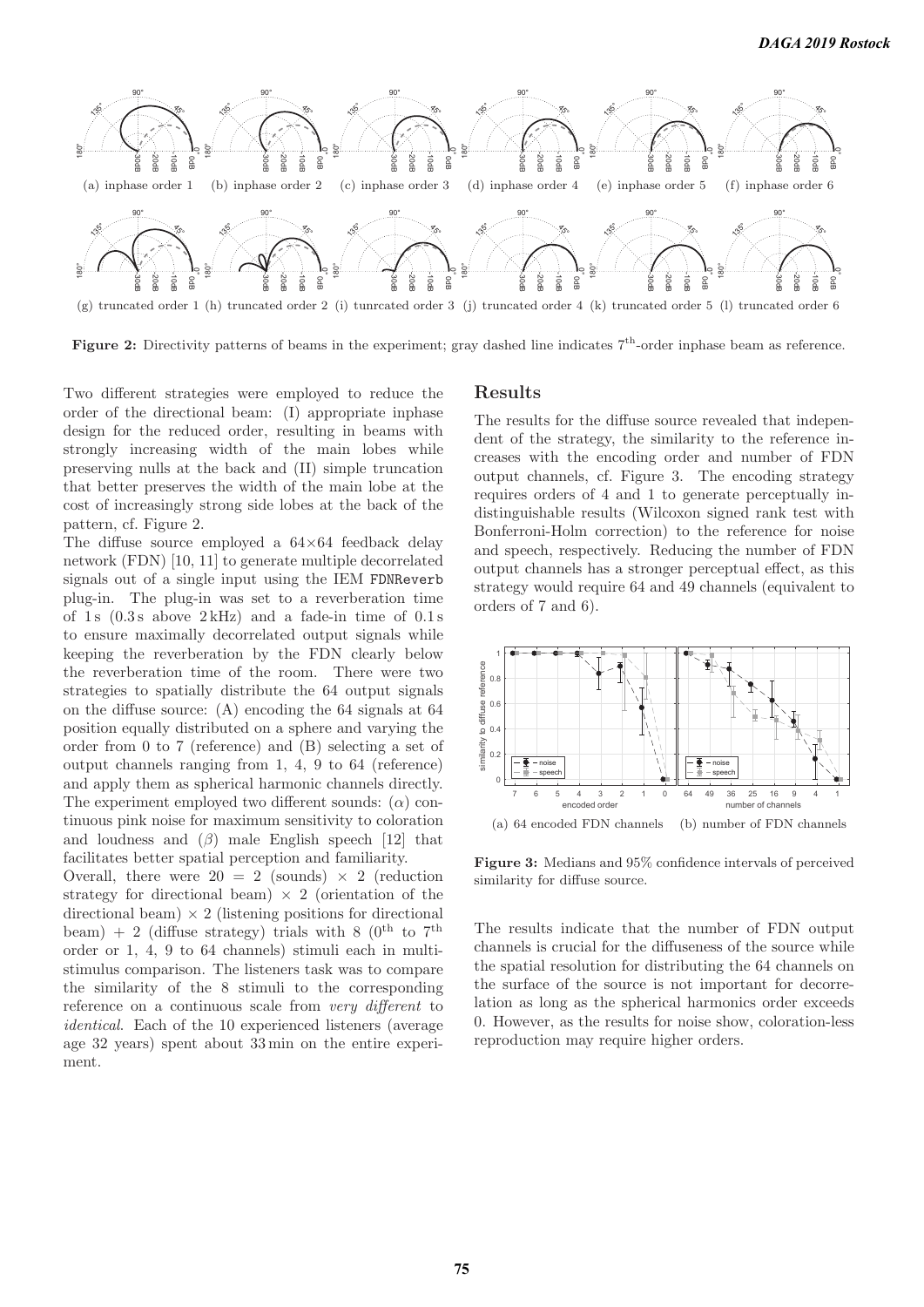

**Figure 2:** Directivity patterns of beams in the experiment; gray dashed line indicates  $7<sup>th</sup>$ -order inphase beam as reference.

Two different strategies were employed to reduce the order of the directional beam: (I) appropriate inphase design for the reduced order, resulting in beams with strongly increasing width of the main lobes while preserving nulls at the back and (II) simple truncation that better preserves the width of the main lobe at the cost of increasingly strong side lobes at the back of the pattern, cf. Figure 2.

The diffuse source employed a  $64\times64$  feedback delay network (FDN) [10, 11] to generate multiple decorrelated signals out of a single input using the IEM FDNReverb plug-in. The plug-in was set to a reverberation time of 1s  $(0.3 s$  above  $2 kHz)$  and a fade-in time of  $0.1 s$ to ensure maximally decorrelated output signals while keeping the reverberation by the FDN clearly below the reverberation time of the room. There were two strategies to spatially distribute the 64 output signals on the diffuse source: (A) encoding the 64 signals at 64 position equally distributed on a sphere and varying the order from 0 to 7 (reference) and (B) selecting a set of output channels ranging from 1, 4, 9 to 64 (reference) and apply them as spherical harmonic channels directly. The experiment employed two different sounds:  $(\alpha)$  continuous pink noise for maximum sensitivity to coloration and loudness and  $(\beta)$  male English speech [12] that facilitates better spatial perception and familiarity.

Overall, there were  $20 = 2$  (sounds)  $\times$  2 (reduction strategy for directional beam)  $\times$  2 (orientation of the directional beam)  $\times$  2 (listening positions for directional beam) + 2 (diffuse strategy) trials with 8 ( $0^{th}$  to  $7^{th}$ order or 1, 4, 9 to 64 channels) stimuli each in multistimulus comparison. The listeners task was to compare the similarity of the 8 stimuli to the corresponding reference on a continuous scale from very different to identical. Each of the 10 experienced listeners (average age 32 years) spent about 33 min on the entire experiment.

#### **Results**

The results for the diffuse source revealed that independent of the strategy, the similarity to the reference increases with the encoding order and number of FDN output channels, cf. Figure 3. The encoding strategy requires orders of 4 and 1 to generate perceptually indistinguishable results (Wilcoxon signed rank test with Bonferroni-Holm correction) to the reference for noise and speech, respectively. Reducing the number of FDN output channels has a stronger perceptual effect, as this strategy would require 64 and 49 channels (equivalent to orders of 7 and 6).



**Figure 3:** Medians and 95% confidence intervals of perceived similarity for diffuse source.

The results indicate that the number of FDN output channels is crucial for the diffuseness of the source while the spatial resolution for distributing the 64 channels on the surface of the source is not important for decorrelation as long as the spherical harmonics order exceeds 0. However, as the results for noise show, coloration-less reproduction may require higher orders.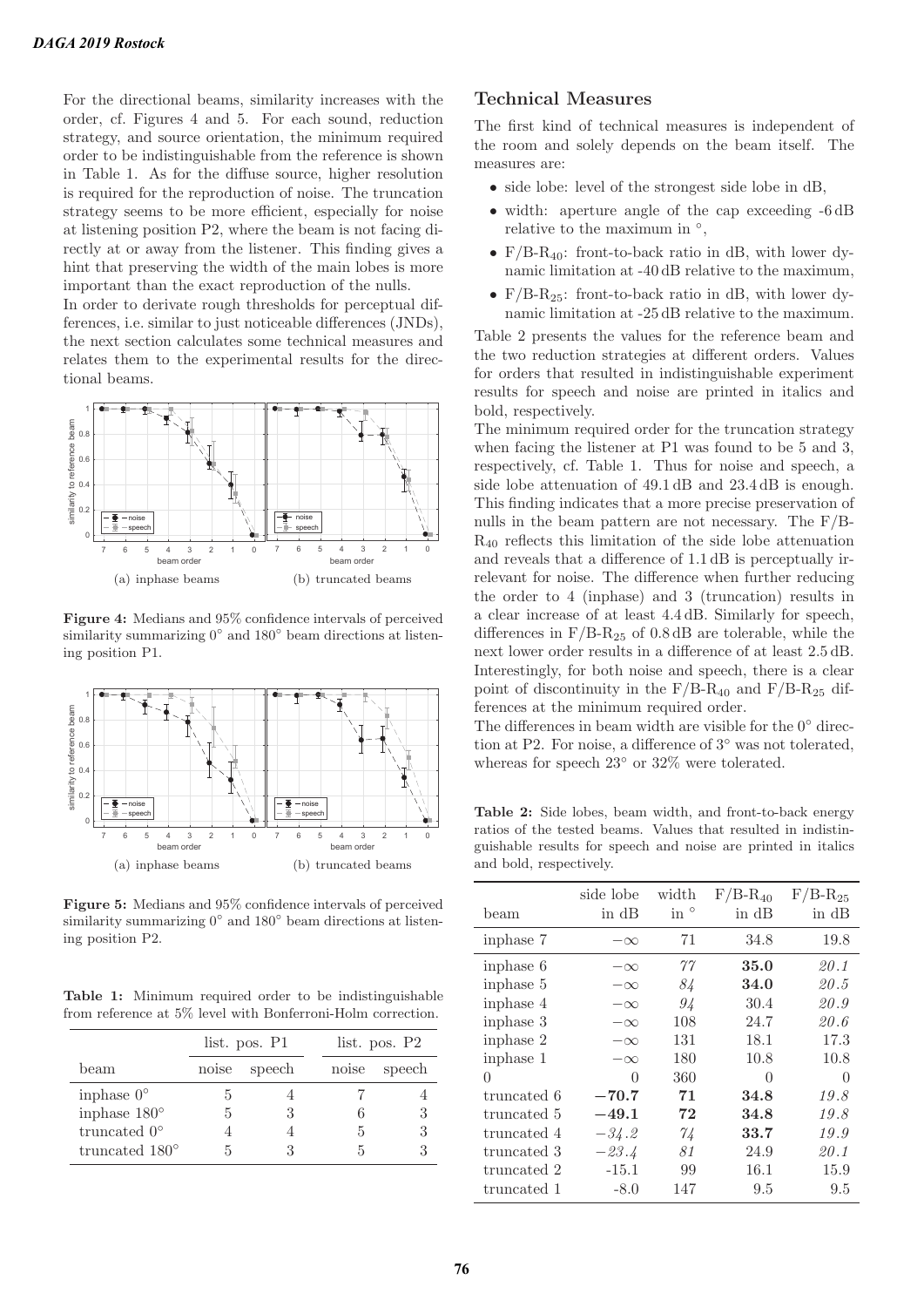For the directional beams, similarity increases with the order, cf. Figures 4 and 5. For each sound, reduction strategy, and source orientation, the minimum required order to be indistinguishable from the reference is shown in Table 1. As for the diffuse source, higher resolution is required for the reproduction of noise. The truncation strategy seems to be more efficient, especially for noise at listening position P2, where the beam is not facing directly at or away from the listener. This finding gives a hint that preserving the width of the main lobes is more important than the exact reproduction of the nulls.

In order to derivate rough thresholds for perceptual differences, i.e. similar to just noticeable differences (JNDs), the next section calculates some technical measures and relates them to the experimental results for the directional beams.



**Figure 4:** Medians and 95% confidence intervals of perceived similarity summarizing  $0°$  and  $180°$  beam directions at listening position P1.



**Figure 5:** Medians and 95% confidence intervals of perceived similarity summarizing 0<sup>°</sup> and 180<sup>°</sup> beam directions at listening position P2.

**Table 1:** Minimum required order to be indistinguishable from reference at 5% level with Bonferroni-Holm correction.

|                         | list. pos. P1 |        |       | list. pos. P2 |  |
|-------------------------|---------------|--------|-------|---------------|--|
| beam                    | noise         | speech | noise | speech        |  |
| in phase $0^{\circ}$    |               |        |       |               |  |
| inphase $180^\circ$     | 5             |        |       | 3             |  |
| truncated $0^{\circ}$   |               |        |       |               |  |
| truncated $180^{\circ}$ |               |        |       |               |  |

## **Technical Measures**

The first kind of technical measures is independent of the room and solely depends on the beam itself. The measures are:

- side lobe: level of the strongest side lobe in dB,
- width: aperture angle of the cap exceeding  $-6 dB$ relative to the maximum in $\degree$ ,
- $F/B-R_{40}$ : front-to-back ratio in dB, with lower dynamic limitation at -40 dB relative to the maximum,
- $F/B-R_{25}$ : front-to-back ratio in dB, with lower dynamic limitation at -25 dB relative to the maximum.

Table 2 presents the values for the reference beam and the two reduction strategies at different orders. Values for orders that resulted in indistinguishable experiment results for speech and noise are printed in italics and bold, respectively.

The minimum required order for the truncation strategy when facing the listener at P1 was found to be 5 and 3, respectively, cf. Table 1. Thus for noise and speech, a side lobe attenuation of 49.1 dB and 23.4 dB is enough. This finding indicates that a more precise preservation of nulls in the beam pattern are not necessary. The F/B-R<sup>40</sup> reflects this limitation of the side lobe attenuation and reveals that a difference of 1.1 dB is perceptually irrelevant for noise. The difference when further reducing the order to 4 (inphase) and 3 (truncation) results in a clear increase of at least 4.4 dB. Similarly for speech, differences in  $F/B-R_{25}$  of 0.8 dB are tolerable, while the next lower order results in a difference of at least 2.5 dB. Interestingly, for both noise and speech, there is a clear point of discontinuity in the  $F/B-R_{40}$  and  $F/B-R_{25}$  differences at the minimum required order.

The differences in beam width are visible for the  $0°$  direction at P2. For noise, a difference of 3◦ was not tolerated, whereas for speech 23◦ or 32% were tolerated.

**Table 2:** Side lobes, beam width, and front-to-back energy ratios of the tested beams. Values that resulted in indistinguishable results for speech and noise are printed in italics and bold, respectively.

| beam        | side lobe<br>in dB | width<br>$\sin$ $\circ$ | $F/B-R_{40}$<br>in dB | $F/B-R_{25}$<br>in dB |
|-------------|--------------------|-------------------------|-----------------------|-----------------------|
| inphase 7   | $-\infty$          | 71                      | 34.8                  | 19.8                  |
| inphase 6   | $-\infty$          | 77                      | 35.0                  | 20.1                  |
| inphase 5   | $-\infty$          | 84                      | 34.0                  | 20.5                  |
| inphase 4   | $-\infty$          | 94                      | 30.4                  | 20.9                  |
| inphase 3   | $-\infty$          | 108                     | 24.7                  | 20.6                  |
| inphase 2   | $-\infty$          | 131                     | 18.1                  | 17.3                  |
| inphase 1   | $-\infty$          | 180                     | 10.8                  | 10.8                  |
| 0           | 0                  | 360                     | $\Omega$              | $\Omega$              |
| truncated 6 | $-70.7$            | 71                      | 34.8                  | 19.8                  |
| truncated 5 | $-49.1$            | 72                      | 34.8                  | 19.8                  |
| truncated 4 | $-34.2$            | 74                      | 33.7                  | 19.9                  |
| truncated 3 | $-23.4$            | 81                      | 24.9                  | 20.1                  |
| truncated 2 | $-15.1$            | 99                      | 16.1                  | 15.9                  |
| truncated 1 | $-8.0$             | 147                     | 9.5                   | 9.5                   |